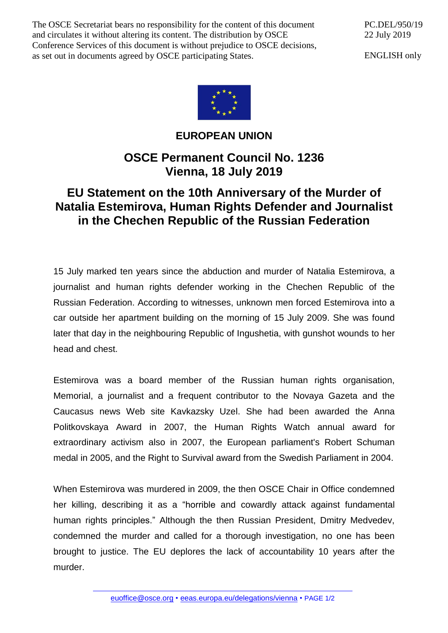The OSCE Secretariat bears no responsibility for the content of this document and circulates it without altering its content. The distribution by OSCE Conference Services of this document is without prejudice to OSCE decisions, as set out in documents agreed by OSCE participating States.

PC.DEL/950/19 22 July 2019

ENGLISH only



## **EUROPEAN UNION**

## **OSCE Permanent Council No. 1236 Vienna, 18 July 2019**

## **EU Statement on the 10th Anniversary of the Murder of Natalia Estemirova, Human Rights Defender and Journalist in the Chechen Republic of the Russian Federation**

15 July marked ten years since the abduction and murder of Natalia Estemirova, a journalist and human rights defender working in the Chechen Republic of the Russian Federation. According to witnesses, unknown men forced Estemirova into a car outside her apartment building on the morning of 15 July 2009. She was found later that day in the neighbouring Republic of Ingushetia, with gunshot wounds to her head and chest.

Estemirova was a board member of the Russian human rights organisation, Memorial, a journalist and a frequent contributor to the Novaya Gazeta and the Caucasus news Web site Kavkazsky Uzel. She had been awarded the Anna Politkovskaya Award in 2007, the Human Rights Watch annual award for extraordinary activism also in 2007, the European parliament's Robert Schuman medal in 2005, and the Right to Survival award from the Swedish Parliament in 2004.

When Estemirova was murdered in 2009, the then OSCE Chair in Office condemned her killing, describing it as a "horrible and cowardly attack against fundamental human rights principles." Although the then Russian President, Dmitry Medvedev, condemned the murder and called for a thorough investigation, no one has been brought to justice. The EU deplores the lack of accountability 10 years after the murder.